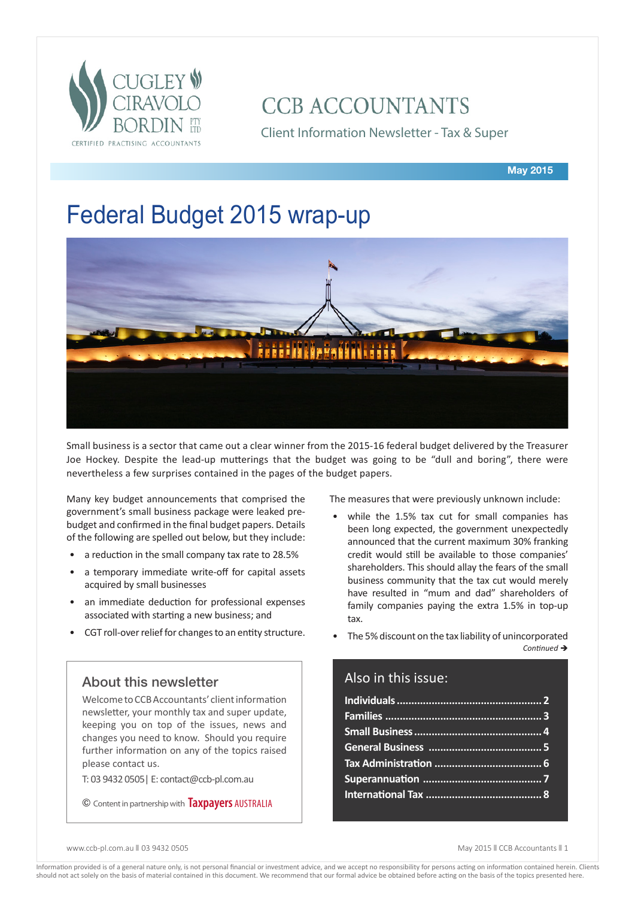

# **CCB ACCOUNTANTS**

Client Information Newsletter - Tax & Super

# Federal Budget 2015 wrap-up



Small business is a sector that came out a clear winner from the 2015-16 federal budget delivered by the Treasurer Joe Hockey. Despite the lead-up mutterings that the budget was going to be "dull and boring", there were nevertheless a few surprises contained in the pages of the budget papers.

Many key budget announcements that comprised the government's small business package were leaked prebudget and confirmed in the final budget papers. Details of the following are spelled out below, but they include:

- a reduction in the small company tax rate to 28.5%
- a temporary immediate write-off for capital assets acquired by small businesses
- an immediate deduction for professional expenses associated with starting a new business; and
- CGT roll-over relief for changes to an entity structure.

## About this newsletter

Welcome to CCB Accountants' client information newsletter, your monthly tax and super update, keeping you on top of the issues, news and changes you need to know. Should you require further information on any of the topics raised please contact us.

T: 03 9432 0505| E: contact@ccb-pl.com.au

© Content in partnership with **Taxpayers** AUSTRALIA

The measures that were previously unknown include:

- while the 1.5% tax cut for small companies has been long expected, the government unexpectedly announced that the current maximum 30% franking credit would still be available to those companies' shareholders. This should allay the fears of the small business community that the tax cut would merely have resulted in "mum and dad" shareholders of family companies paying the extra 1.5% in top-up tax.
- The 5% discount on the tax liability of unincorporated  $Continued \rightarrow$

# Also in this issue:

www.ccb-pl.com.au || 03 9432 0505 May 2015 || CCB Accountants || 1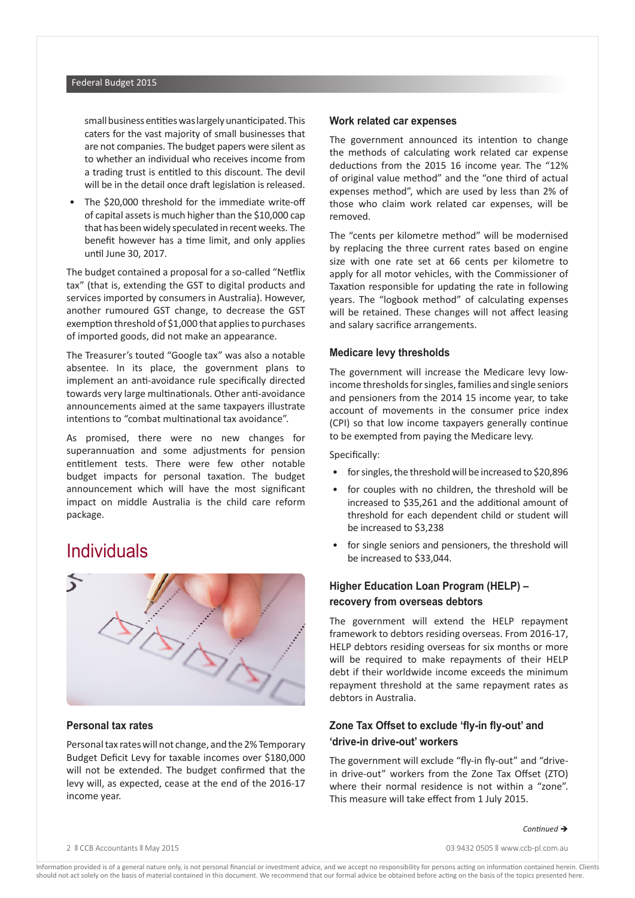small business entities was largely unanticipated. This caters for the vast majority of small businesses that are not companies. The budget papers were silent as to whether an individual who receives income from a trading trust is entitled to this discount. The devil will be in the detail once draft legislation is released.

The \$20,000 threshold for the immediate write-off of capital assets is much higher than the \$10,000 cap that has been widely speculated in recent weeks. The benefit however has a time limit, and only applies until June 30, 2017.

The budget contained a proposal for a so-called "Netflix tax" (that is, extending the GST to digital products and services imported by consumers in Australia). However, another rumoured GST change, to decrease the GST exemption threshold of \$1,000 that applies to purchases of imported goods, did not make an appearance.

The Treasurer's touted "Google tax" was also a notable absentee. In its place, the government plans to implement an anti-avoidance rule specifically directed towards very large multinationals. Other anti-avoidance announcements aimed at the same taxpayers illustrate intentions to "combat multinational tax avoidance".

As promised, there were no new changes for superannuation and some adjustments for pension entitlement tests. There were few other notable budget impacts for personal taxation. The budget announcement which will have the most significant impact on middle Australia is the child care reform package.

# **Individuals**



#### **Personal tax rates**

Personal tax rates will not change, and the 2% Temporary Budget Deficit Levy for taxable incomes over \$180,000 will not be extended. The budget confirmed that the levy will, as expected, cease at the end of the 2016-17 income year.

#### **Work related car expenses**

The government announced its intention to change the methods of calculating work related car expense deductions from the 2015 16 income year. The "12% of original value method" and the "one third of actual expenses method", which are used by less than 2% of those who claim work related car expenses, will be removed.

The "cents per kilometre method" will be modernised by replacing the three current rates based on engine size with one rate set at 66 cents per kilometre to apply for all motor vehicles, with the Commissioner of Taxation responsible for updating the rate in following years. The "logbook method" of calculating expenses will be retained. These changes will not affect leasing and salary sacrifice arrangements.

#### **Medicare levy thresholds**

The government will increase the Medicare levy lowincome thresholds for singles, families and single seniors and pensioners from the 2014 15 income year, to take account of movements in the consumer price index (CPI) so that low income taxpayers generally continue to be exempted from paying the Medicare levy.

Specifically:

- for singles, the threshold will be increased to \$20,896
- for couples with no children, the threshold will be increased to \$35,261 and the additional amount of threshold for each dependent child or student will be increased to \$3,238
- for single seniors and pensioners, the threshold will be increased to \$33,044.

### **Higher Education Loan Program (HELP) – recovery from overseas debtors**

The government will extend the HELP repayment framework to debtors residing overseas. From 2016-17, HELP debtors residing overseas for six months or more will be required to make repayments of their HELP debt if their worldwide income exceeds the minimum repayment threshold at the same repayment rates as debtors in Australia.

### **Zone Tax Offset to exclude 'fly-in fly-out' and 'drive-in drive-out' workers**

The government will exclude "fly-in fly-out" and "drivein drive-out" workers from the Zone Tax Offset (ZTO) where their normal residence is not within a "zone". This measure will take effect from 1 July 2015.

### *Continued*  $\rightarrow$

2  $\parallel$  CCB Accountants Nav 2015 2009 13 2009 13 2009 13 2009 13 2009 13 2009 13 2009 14:30 2009 14:30 2009 14:30 2009 14:30 2009 14:30 2009 14:30 2009 14:30 2009 14:30 2009 14:30 2009 14:30 2009 14:30 2009 14:30 2009 14:30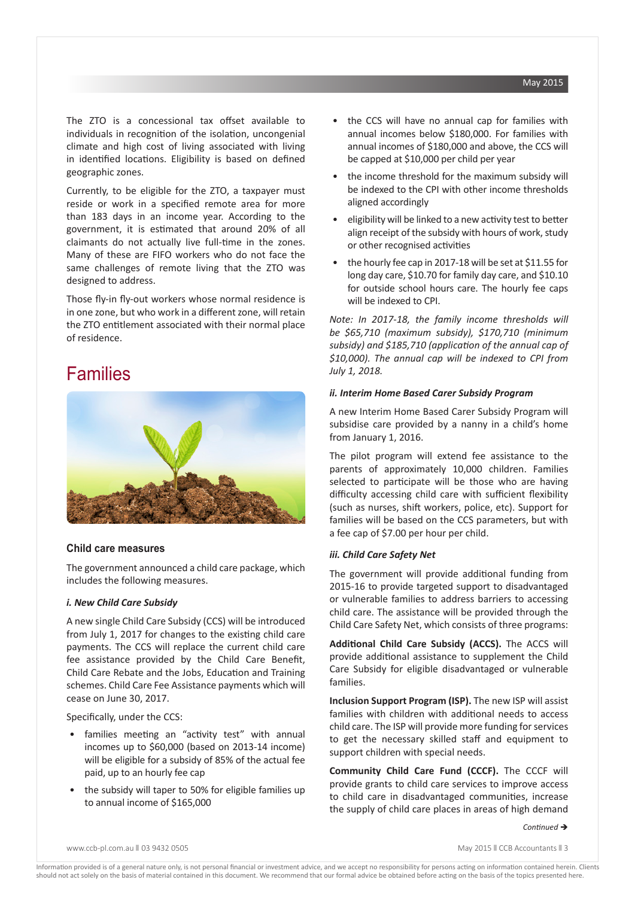The ZTO is a concessional tax offset available to individuals in recognition of the isolation, uncongenial climate and high cost of living associated with living in identified locations. Eligibility is based on defined geographic zones.

Currently, to be eligible for the ZTO, a taxpayer must reside or work in a specified remote area for more than 183 days in an income year. According to the government, it is estimated that around 20% of all claimants do not actually live full-time in the zones. Many of these are FIFO workers who do not face the same challenges of remote living that the ZTO was designed to address.

Those fly-in fly-out workers whose normal residence is in one zone, but who work in a different zone, will retain the ZTO entitlement associated with their normal place of residence.

# Families



### **Child care measures**

The government announced a child care package, which includes the following measures.

#### *i. New Child Care Subsidy*

A new single Child Care Subsidy (CCS) will be introduced from July 1, 2017 for changes to the existing child care payments. The CCS will replace the current child care fee assistance provided by the Child Care Benefit, Child Care Rebate and the Jobs, Education and Training schemes. Child Care Fee Assistance payments which will cease on June 30, 2017.

Specifically, under the CCS:

- families meeting an "activity test" with annual incomes up to \$60,000 (based on 2013-14 income) will be eligible for a subsidy of 85% of the actual fee paid, up to an hourly fee cap
- the subsidy will taper to 50% for eligible families up to annual income of \$165,000
- the CCS will have no annual cap for families with annual incomes below \$180,000. For families with annual incomes of \$180,000 and above, the CCS will be capped at \$10,000 per child per year
- the income threshold for the maximum subsidy will be indexed to the CPI with other income thresholds aligned accordingly
- eligibility will be linked to a new activity test to better align receipt of the subsidy with hours of work, study or other recognised activities
- the hourly fee cap in 2017-18 will be set at \$11.55 for long day care, \$10.70 for family day care, and \$10.10 for outside school hours care. The hourly fee caps will be indexed to CPI.

*Note: In 2017-18, the family income thresholds will be \$65,710 (maximum subsidy), \$170,710 (minimum subsidy) and \$185,710 (application of the annual cap of \$10,000). The annual cap will be indexed to CPI from July 1, 2018.* 

#### *ii. Interim Home Based Carer Subsidy Program*

A new Interim Home Based Carer Subsidy Program will subsidise care provided by a nanny in a child's home from January 1, 2016.

The pilot program will extend fee assistance to the parents of approximately 10,000 children. Families selected to participate will be those who are having difficulty accessing child care with sufficient flexibility (such as nurses, shift workers, police, etc). Support for families will be based on the CCS parameters, but with a fee cap of \$7.00 per hour per child.

#### *iii. Child Care Safety Net*

The government will provide additional funding from 2015-16 to provide targeted support to disadvantaged or vulnerable families to address barriers to accessing child care. The assistance will be provided through the Child Care Safety Net, which consists of three programs:

**Additional Child Care Subsidy (ACCS).** The ACCS will provide additional assistance to supplement the Child Care Subsidy for eligible disadvantaged or vulnerable families.

**Inclusion Support Program (ISP).** The new ISP will assist families with children with additional needs to access child care. The ISP will provide more funding for services to get the necessary skilled staff and equipment to support children with special needs.

**Community Child Care Fund (CCCF).** The CCCF will provide grants to child care services to improve access to child care in disadvantaged communities, increase the supply of child care places in areas of high demand

www.ccb-pl.com.au || 03 9432 0505 May 2015 || CCB Accountants || 3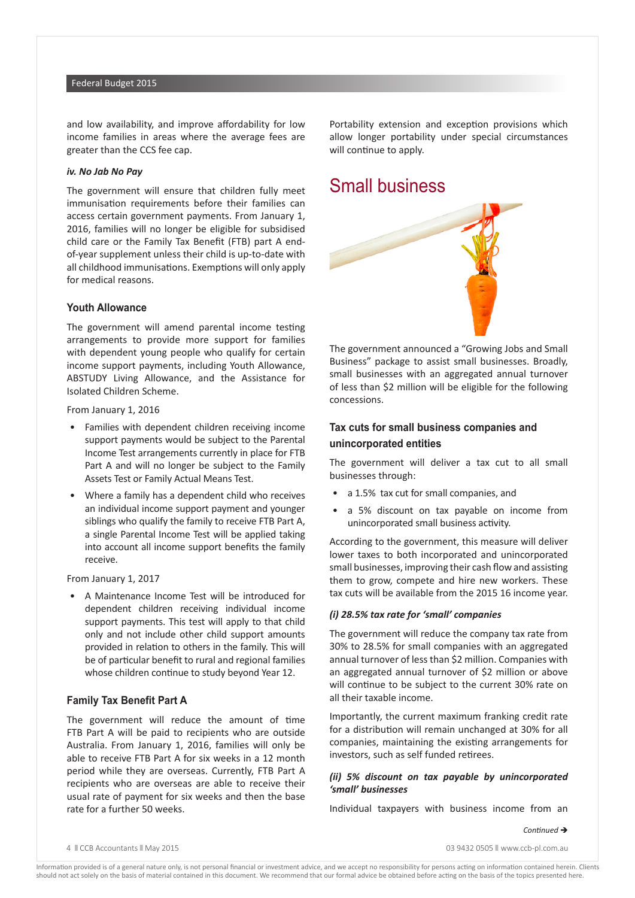#### Federal Budget 2015

and low availability, and improve affordability for low income families in areas where the average fees are greater than the CCS fee cap.

#### *iv. No Jab No Pay*

The government will ensure that children fully meet immunisation requirements before their families can access certain government payments. From January 1, 2016, families will no longer be eligible for subsidised child care or the Family Tax Benefit (FTB) part A endof-year supplement unless their child is up-to-date with all childhood immunisations. Exemptions will only apply for medical reasons.

#### **Youth Allowance**

The government will amend parental income testing arrangements to provide more support for families with dependent young people who qualify for certain income support payments, including Youth Allowance, ABSTUDY Living Allowance, and the Assistance for Isolated Children Scheme.

From January 1, 2016

- Families with dependent children receiving income support payments would be subject to the Parental Income Test arrangements currently in place for FTB Part A and will no longer be subject to the Family Assets Test or Family Actual Means Test.
- Where a family has a dependent child who receives an individual income support payment and younger siblings who qualify the family to receive FTB Part A, a single Parental Income Test will be applied taking into account all income support benefits the family receive.

From January 1, 2017

• A Maintenance Income Test will be introduced for dependent children receiving individual income support payments. This test will apply to that child only and not include other child support amounts provided in relation to others in the family. This will be of particular benefit to rural and regional families whose children continue to study beyond Year 12.

#### **Family Tax Benefit Part A**

The government will reduce the amount of time FTB Part A will be paid to recipients who are outside Australia. From January 1, 2016, families will only be able to receive FTB Part A for six weeks in a 12 month period while they are overseas. Currently, FTB Part A recipients who are overseas are able to receive their usual rate of payment for six weeks and then the base rate for a further 50 weeks.

Portability extension and exception provisions which allow longer portability under special circumstances will continue to apply.

# Small business



The government announced a "Growing Jobs and Small Business" package to assist small businesses. Broadly, small businesses with an aggregated annual turnover of less than \$2 million will be eligible for the following concessions.

### **Tax cuts for small business companies and unincorporated entities**

The government will deliver a tax cut to all small businesses through:

- a 1.5% tax cut for small companies, and
- a 5% discount on tax payable on income from unincorporated small business activity.

According to the government, this measure will deliver lower taxes to both incorporated and unincorporated small businesses, improving their cash flow and assisting them to grow, compete and hire new workers. These tax cuts will be available from the 2015 16 income year.

#### *(i) 28.5% tax rate for 'small' companies*

The government will reduce the company tax rate from 30% to 28.5% for small companies with an aggregated annual turnover of less than \$2 million. Companies with an aggregated annual turnover of \$2 million or above will continue to be subject to the current 30% rate on all their taxable income.

Importantly, the current maximum franking credit rate for a distribution will remain unchanged at 30% for all companies, maintaining the existing arrangements for investors, such as self funded retirees.

#### *(ii) 5% discount on tax payable by unincorporated 'small' businesses*

Individual taxpayers with business income from an

*Continued*  $\rightarrow$ 

4 n CCB Accountants n May 2015 03 9432 0505 n www.ccb-pl.com.au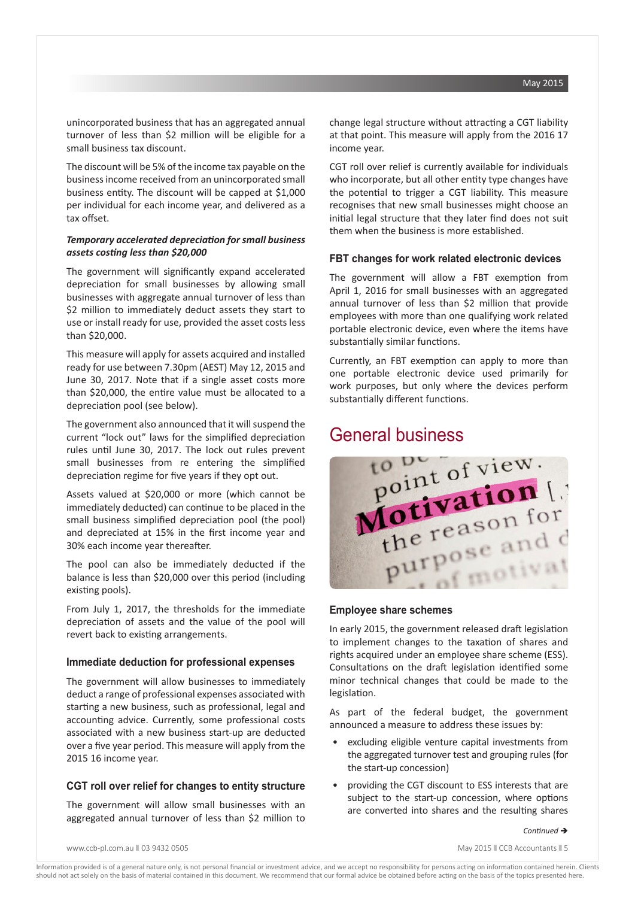unincorporated business that has an aggregated annual turnover of less than \$2 million will be eligible for a small business tax discount.

The discount will be 5% of the income tax payable on the business income received from an unincorporated small business entity. The discount will be capped at \$1,000 per individual for each income year, and delivered as a tax offset.

### *Temporary accelerated depreciation for small business assets costing less than \$20,000*

The government will significantly expand accelerated depreciation for small businesses by allowing small businesses with aggregate annual turnover of less than \$2 million to immediately deduct assets they start to use or install ready for use, provided the asset costs less than \$20,000.

This measure will apply for assets acquired and installed ready for use between 7.30pm (AEST) May 12, 2015 and June 30, 2017. Note that if a single asset costs more than \$20,000, the entire value must be allocated to a depreciation pool (see below).

The government also announced that it will suspend the current "lock out" laws for the simplified depreciation rules until June 30, 2017. The lock out rules prevent small businesses from re entering the simplified depreciation regime for five years if they opt out.

Assets valued at \$20,000 or more (which cannot be immediately deducted) can continue to be placed in the small business simplified depreciation pool (the pool) and depreciated at 15% in the first income year and 30% each income year thereafter.

The pool can also be immediately deducted if the balance is less than \$20,000 over this period (including existing pools).

From July 1, 2017, the thresholds for the immediate depreciation of assets and the value of the pool will revert back to existing arrangements.

#### **Immediate deduction for professional expenses**

The government will allow businesses to immediately deduct a range of professional expenses associated with starting a new business, such as professional, legal and accounting advice. Currently, some professional costs associated with a new business start-up are deducted over a five year period. This measure will apply from the 2015 16 income year.

#### **CGT roll over relief for changes to entity structure**

The government will allow small businesses with an aggregated annual turnover of less than \$2 million to change legal structure without attracting a CGT liability at that point. This measure will apply from the 2016 17 income year.

CGT roll over relief is currently available for individuals who incorporate, but all other entity type changes have the potential to trigger a CGT liability. This measure recognises that new small businesses might choose an initial legal structure that they later find does not suit them when the business is more established.

#### **FBT changes for work related electronic devices**

The government will allow a FBT exemption from April 1, 2016 for small businesses with an aggregated annual turnover of less than \$2 million that provide employees with more than one qualifying work related portable electronic device, even where the items have substantially similar functions.

Currently, an FBT exemption can apply to more than one portable electronic device used primarily for work purposes, but only where the devices perform substantially different functions.



#### **Employee share schemes**

In early 2015, the government released draft legislation to implement changes to the taxation of shares and rights acquired under an employee share scheme (ESS). Consultations on the draft legislation identified some minor technical changes that could be made to the legislation.

As part of the federal budget, the government announced a measure to address these issues by:

- excluding eligible venture capital investments from the aggregated turnover test and grouping rules (for the start-up concession)
- providing the CGT discount to ESS interests that are subject to the start-up concession, where options are converted into shares and the resulting shares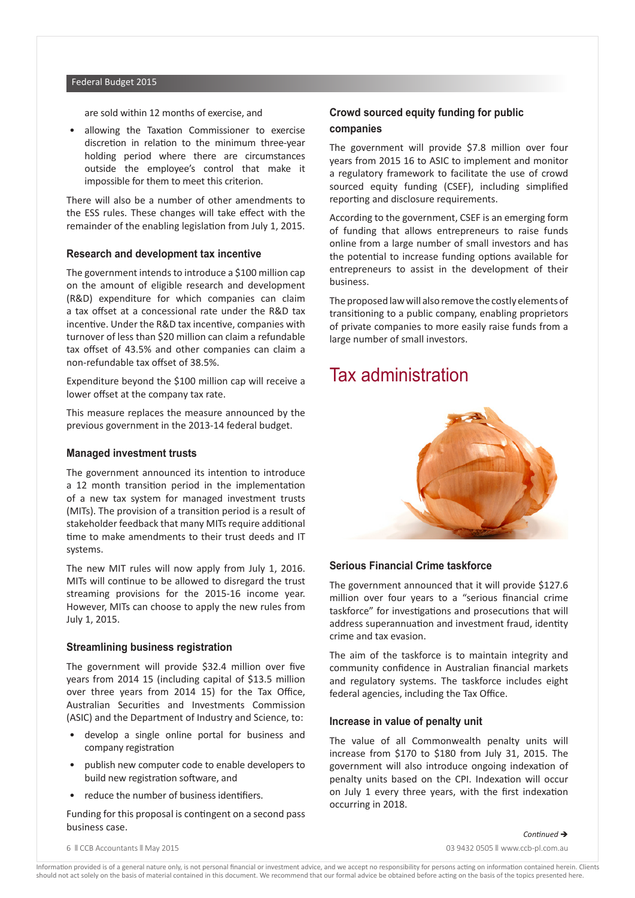#### Federal Budget 2015

are sold within 12 months of exercise, and

• allowing the Taxation Commissioner to exercise discretion in relation to the minimum three-year holding period where there are circumstances outside the employee's control that make it impossible for them to meet this criterion.

There will also be a number of other amendments to the ESS rules. These changes will take effect with the remainder of the enabling legislation from July 1, 2015.

#### **Research and development tax incentive**

The government intends to introduce a \$100 million cap on the amount of eligible research and development (R&D) expenditure for which companies can claim a tax offset at a concessional rate under the R&D tax incentive. Under the R&D tax incentive, companies with turnover of less than \$20 million can claim a refundable tax offset of 43.5% and other companies can claim a non-refundable tax offset of 38.5%.

Expenditure beyond the \$100 million cap will receive a lower offset at the company tax rate.

This measure replaces the measure announced by the previous government in the 2013-14 federal budget.

#### **Managed investment trusts**

The government announced its intention to introduce a 12 month transition period in the implementation of a new tax system for managed investment trusts (MITs). The provision of a transition period is a result of stakeholder feedback that many MITs require additional time to make amendments to their trust deeds and IT systems.

The new MIT rules will now apply from July 1, 2016. MITs will continue to be allowed to disregard the trust streaming provisions for the 2015-16 income year. However, MITs can choose to apply the new rules from July 1, 2015.

#### **Streamlining business registration**

The government will provide \$32.4 million over five years from 2014 15 (including capital of \$13.5 million over three years from 2014 15) for the Tax Office, Australian Securities and Investments Commission (ASIC) and the Department of Industry and Science, to:

- develop a single online portal for business and company registration
- publish new computer code to enable developers to build new registration software, and
- reduce the number of business identifiers.

Funding for this proposal is contingent on a second pass business case.

### **Crowd sourced equity funding for public companies**

The government will provide \$7.8 million over four years from 2015 16 to ASIC to implement and monitor a regulatory framework to facilitate the use of crowd sourced equity funding (CSEF), including simplified reporting and disclosure requirements.

According to the government, CSEF is an emerging form of funding that allows entrepreneurs to raise funds online from a large number of small investors and has the potential to increase funding options available for entrepreneurs to assist in the development of their business.

The proposed law will also remove the costly elements of transitioning to a public company, enabling proprietors of private companies to more easily raise funds from a large number of small investors.

# Tax administration



### **Serious Financial Crime taskforce**

The government announced that it will provide \$127.6 million over four years to a "serious financial crime taskforce" for investigations and prosecutions that will address superannuation and investment fraud, identity crime and tax evasion.

The aim of the taskforce is to maintain integrity and community confidence in Australian financial markets and regulatory systems. The taskforce includes eight federal agencies, including the Tax Office.

#### **Increase in value of penalty unit**

The value of all Commonwealth penalty units will increase from \$170 to \$180 from July 31, 2015. The government will also introduce ongoing indexation of penalty units based on the CPI. Indexation will occur on July 1 every three years, with the first indexation occurring in 2018.

 $Contentnued \rightarrow$ 

6 n CCB Accountants n May 2015 03 9432 0505 n www.ccb-pl.com.au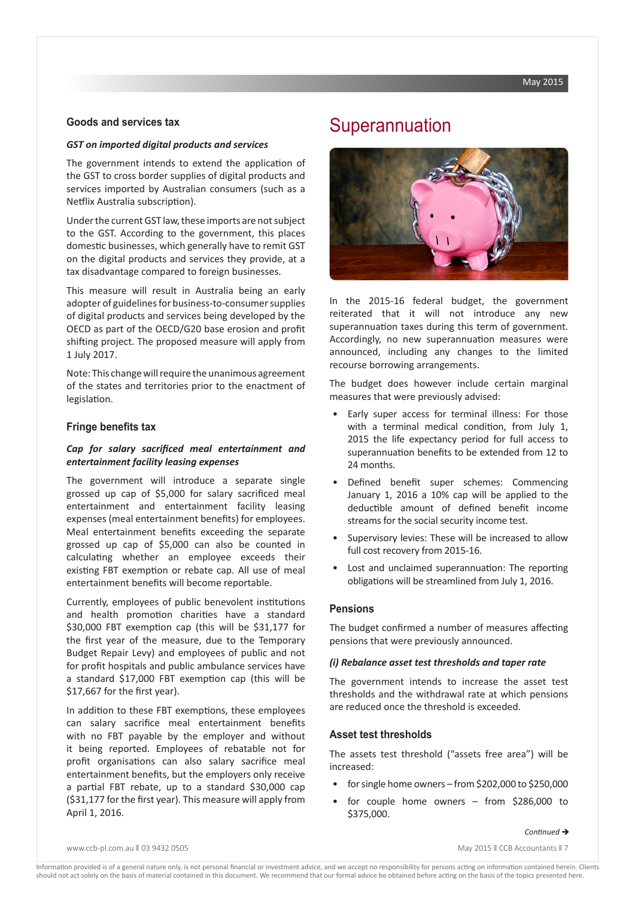#### **Goods and services tax**

#### *GST on imported digital products and services*

The government intends to extend the application of the GST to cross border supplies of digital products and services imported by Australian consumers (such as a Netflix Australia subscription).

Under the current GST law, these imports are not subject to the GST. According to the government, this places domestic businesses, which generally have to remit GST on the digital products and services they provide, at a tax disadvantage compared to foreign businesses.

This measure will result in Australia being an early adopter of guidelines for business-to-consumer supplies of digital products and services being developed by the OECD as part of the OECD/G20 base erosion and profit shifting project. The proposed measure will apply from 1 July 2017.

Note: This change will require the unanimous agreement of the states and territories prior to the enactment of legislation.

#### **Fringe benefits tax**

#### *Cap for salary sacrificed meal entertainment and entertainment facility leasing expenses*

The government will introduce a separate single grossed up cap of \$5,000 for salary sacrificed meal entertainment and entertainment facility leasing expenses (meal entertainment benefits) for employees. Meal entertainment benefits exceeding the separate grossed up cap of \$5,000 can also be counted in calculating whether an employee exceeds their existing FBT exemption or rebate cap. All use of meal entertainment benefits will become reportable.

Currently, employees of public benevolent institutions and health promotion charities have a standard \$30,000 FBT exemption cap (this will be \$31,177 for the first year of the measure, due to the Temporary Budget Repair Levy) and employees of public and not for profit hospitals and public ambulance services have a standard \$17,000 FBT exemption cap (this will be \$17,667 for the first year).

In addition to these FBT exemptions, these employees can salary sacrifice meal entertainment benefits with no FBT payable by the employer and without it being reported. Employees of rebatable not for profit organisations can also salary sacrifice meal entertainment benefits, but the employers only receive a partial FBT rebate, up to a standard \$30,000 cap (\$31,177 for the first year). This measure will apply from April 1, 2016.

# **Superannuation**



In the 2015-16 federal budget, the government reiterated that it will not introduce any new superannuation taxes during this term of government. Accordingly, no new superannuation measures were announced, including any changes to the limited recourse borrowing arrangements.

The budget does however include certain marginal measures that were previously advised:

- Early super access for terminal illness: For those with a terminal medical condition, from July 1, 2015 the life expectancy period for full access to superannuation benefits to be extended from 12 to 24 months.
- Defined benefit super schemes: Commencing January 1, 2016 a 10% cap will be applied to the deductible amount of defined benefit income streams for the social security income test.
- Supervisory levies: These will be increased to allow full cost recovery from 2015-16.
- Lost and unclaimed superannuation: The reporting obligations will be streamlined from July 1, 2016.

#### **Pensions**

The budget confirmed a number of measures affecting pensions that were previously announced.

#### *(i) Rebalance asset test thresholds and taper rate*

The government intends to increase the asset test thresholds and the withdrawal rate at which pensions are reduced once the threshold is exceeded.

#### **Asset test thresholds**

The assets test threshold ("assets free area") will be increased:

- for single home owners from \$202,000 to \$250,000
- for couple home owners from \$286,000 to \$375,000.

#### $Contentnued \rightarrow$

www.ccb-pl.com.au || 03 9432 0505 May 2015 || CCB Accountants || 7